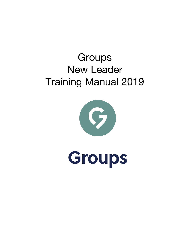# **Groups** New Leader Training Manual 2019



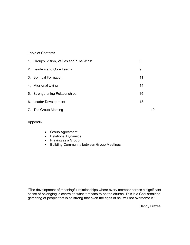### Table of Contents

| 1. Groups, Vision, Values and "The Wins" | 5  |    |
|------------------------------------------|----|----|
| 2. Leaders and Core Teams                | 9  |    |
| 3. Spiritual Formation                   | 11 |    |
| 4. Missional Living                      | 14 |    |
| 5. Strengthening Relationships           | 16 |    |
| 6. Leader Development                    | 18 |    |
| 7. The Group Meeting                     |    | 19 |

### Appendix

- Group Agreement
- Relational Dynamics
- Praying as a Group
- Building Community between Group Meetings

"The development of meaningful relationships where every member carries a significant sense of belonging is central to what it means to be the church. This is a God-ordained gathering of people that is so strong that even the ages of hell will not overcome it."

Randy Frazee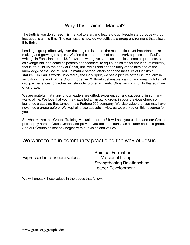### Why This Training Manual?

The truth is you don't need this manual to start and lead a group. People start groups without instructions all the time. The real issue is how do we cultivate a group environment that allows it to thrive.

Leading a group effectively over the long run is one of the most difficult yet important tasks in making and growing disciples. We find the importance of shared work expressed in Paul's writings in Ephesians 4:11-13, "It was he who gave some as apostles, some as prophets, some as evangelists, and some as pastors and teachers, to equip the saints for the work of ministry, that is, to build up the body of Christ, until we all attain to the unity of the faith and of the knowledge of the Son of God—a mature person, attaining to the measure of Christ's full stature." In Paul's words, inspired by the Holy Spirit, we see a picture of the Church, arm in arm, doing the work of the Church together. Without sustainable, caring, and meaningful small group experiences, churches will struggle to offer authentic Christian community that so many of us crave.

We are grateful that many of our leaders are gifted, experienced, and successful in so many walks of life. We love that you may have led an amazing group in your previous church or launched a start-up that turned into a Fortune 500 company. We also value that you may have never led a group before. We kept all these aspects in view as we worked on this resource for you.

So what makes this Groups Training Manual important? It will help you understand our Groups philosophy here at Grace Chapel and provide you tools to flourish as a leader and as a group. And our Groups philosophy begins with our vision and values:

### We want to be in community practicing the way of Jesus.

|                                | - Spiritual Formation         |
|--------------------------------|-------------------------------|
| Expressed in four core values: | - Missional Living            |
|                                | - Strengthening Relationships |
|                                | - Leader Development          |
|                                |                               |

We will unpack these values in the pages that follow.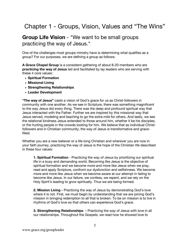# Chapter 1 - Groups, Vision, Values and "The Wins"

### **Group Life Vision** - "We want to be small groups practicing the way of Jesus."

One of the challenges most groups ministry have is determining what qualifies as a group? For our purposes, we are defining a group as follows:

**A Grace Chapel Group** is a consistent gathering of about 8-20 members who are **practicing the way of Jesus** led and facilitated by lay leaders who are serving with these 4 core values:

- **Spiritual Formation**
- **Missional Living**
- **Strengthening Relationships**
- **Leader Development**

**"The way of Jesus"** casts a vision of God's grace for us as Christ-followers in community with one another. As we see in Scripture, there was something magnificent to the way Jesus did every thing. There was the deep and profound spiritual way that Jesus interacted with the Father. Further we are inspired by this missional way that Jesus served, modeling and teaching to go the extra-mile for others. And lastly, we see the relational kindness Jesus extended to those around him, whether it be his disciples, or the hurting people in the crowds looking for him. We believe that as individual Christfollowers and in Christian community, the way of Jesus is transformative and gracefilled.

Whether you are a new believer or a life-long Christian and wherever you are now in your faith journey, practicing the way of Jesus is the hope of the Christian life described in these four values:

**1. Spiritual Formation** - Practicing the way of Jesus by prioritizing our spiritual life in a busy and demanding world. Becoming like Jesus is the objective of spiritual formation and we become more and more like Jesus when we pray, read and apply Scripture, confront our dysfunction and selfishness. We become more and more like Jesus when we become aware at our attempt in failing to become like Jesus. In our failure, we confess, we repent, and we rely on the Holy Spirit's leading to grow spiritually. Thus we are being formed.

**2. Mission Living -** Practicing the way of Jesus by demonstrating God's love where it is not. First, we must begin by understanding that we are joining God's mission in bringing redemption to all that is broken. To be on mission is to live in rhythms of God's love so that others can experience God's grace.

**3. Strengthening Relationships -** Practicing the way of Jesus with love in all our relationships. Throughout the Gospels, we read how he showed love to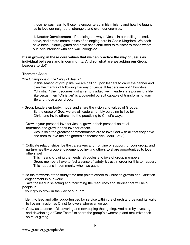those he was near, to those he encountered in his ministry and how he taught us to love our neighbors, strangers and even our enemies.

**4. Leader Development -** Practicing the way of Jesus in our calling to lead, serve, and create communities of belonging here in God's Kingdom. We each have been uniquely gifted and have been entrusted to minister to those whom our lives intersect with and walk alongside.

### **It's in growing in these core values that we can practice the way of Jesus as individual believers and in community. And so, what are we asking our Group Leaders to do?**

### **Thematic Asks:**

-Be Champions of the "Way of Jesus."

In this season of group life, we are calling upon leaders to carry the banner and own the mantra of following the way of Jesus. If leaders are not Christ-like, "Christian" then becomes just an empty adjective. If leaders are pursuing a life like Jesus, then "Christian" is a powerful pursuit capable of transforming your life and those around you.

- Group Leaders embody, model and share the vision and values of Groups. By the grace of God, we are all leaders humbly pursuing to live for Christ and invite others into the practicing to Christ's ways.
- Grow in your personal love for Jesus, grow in their personal spiritual formation and grow in their love for others.

Jesus said the greatest commandments are to love God with all that they have and then to love their neighbors as themselves (Mark 12:33).

- Cultivate relationships, be the caretakers and frontline of support for your group, and nurture healthy group engagement by inviting others to share opportunities to love others well.

This means knowing the needs, struggles and joys of group members. Group members have to feel a sense of safety & trust in order for this to happen. This happens in community when we gather.

- Be the stewards of the study time that points others to Christian growth and Christian engagement in our world.

 Take the lead in selecting and facilitating the resources and studies that will help people in

your group grow in the way of our Lord.

- Identify, lead and offer opportunities for service within the church and beyond its walls to live on mission as Christ followers wherever we go.
- Grow as Leaders Discovering and developing their gifting. And also by investing and developing a "Core Team" to share the group's ownership and maximize their spiritual gifting.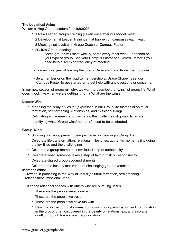### **The Logistical Asks:**

We are asking Group Leaders for **"1:2:2:20"**

- 1 New Leader Groups Training (Taken once after our Model Reset).
- 2 Developmental Leader Trainings that happen on campuses each year.
- 2 Meetings (at least) with Group Coach or Campus Pastor.
- 20/40/x Group meetings

Some groups will meet weekly, some every other week - depends on your type of group. See your Campus Pastor or a Central Pastor if you need help discerning frequency of meeting.

- Commit to a year of leading the group (Generally from September to June).
- Be a member or on the road to membership at Grace Chapel. See your Campus Pastor to get started or to get help with any questions or concerns.

In our new season of group ministry, we want to describe the "wins" of group life. What does it look like when we are getting it right? What are the wins?

### **Leader Wins:**

- Modeling the "Way of Jesus" (expressed in our Group life themes of spiritual formation, strengthening relationships, and missional living)
- Cultivating engagement and navigating the challenges of group dynamics
- Identifying what "Group wins/moments" need to be celebrated

#### **Group Wins:**

- Showing up, being present, being engaged in meaningful Group life
- Celebrate life transformation, relational milestones, authentic moments (including the joy-filled and the challenging)
- Celebrate a group member's new-found step of authenticity
- Celebrate when someone takes a step of faith or risk or responsibility
- Celebrate shared group accomplishments
- Celebrate the healthy maturation of challenging group dynamics

#### **Member Wins:**

- Growing in practicing in the Way of Jesus (spiritual formation, straightening relationships, missional living)
- Filling the relational spaces with others who are pursuing Jesus.
	- These are the people we sojourn with
	- These are the people we trust
	- These are the people we have fun with
	- Relishing in the fruit that comes from owning our participation and continuation in the group, often discovered in the beauty of relationships, and also after conflict through forgiveness, reconciliation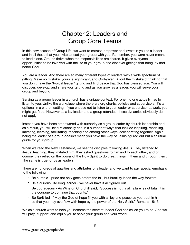### Chapter 2: Leaders and Group Core Teams

In this new season of Group Life, we want to entrust, empower and invest in you as a leader and in all those that you invite to lead your group with you. Remember, you were never meant to lead alone. Groups thrive when the responsibilities are shared. It gives everyone opportunities to be involved with the life of your group and discover giftings that bring joy and honor God.

You are a leader. And there are so many different types of leaders with a wide spectrum of gifting. Make no mistake, yours is significant, and God-given. Avoid the mistake of thinking that you don't have the "typical leader" gifting and find peace that God has blessed you. You will discover, develop, and share your gifting and as you grow as a leader, you will serve your group and beyond.

Serving as a group leader in a church has a unique context. For one, no one actually has to listen to you. Unlike the workplace where there are org charts, policies and supervisors, it's all optional in a church setting. If you choose not to listen to your leader or supervisor at work, you might get fired. However as a lay leader and a group attendee, these dynamics obviously do not apply.

Instead you have been empowered with authority as a group leader by church leadership and as a result, you will lead relationally and in a number of ways that include inspiring, modeling, imitating, learning, facilitating, teaching and among other ways, collaborating together. Again, being the leader of a group doesn't mean you have the way of Jesus figured out but a spiritual guide for your group.

When we read the New Testament, we see the disciples following Jesus. They listened to Jesus' teaching, they imitated him, they asked questions to him and to each other, and of course, they relied on the power of the Holy Spirit to do great things in them and through them. The same is true for us as leaders.

There are hundreds of qualities and attributes of a leader and we want to pay special emphasis to the following:

- Be humble pride not only goes before the fall, but humility leads the way forward
- Be a curious, life-long learner we never have it all figured out
- Be courageous As Winston Churchill said, "Success is not final, failure is not fatal: it is the courage to continue that counts."
- Be Sprit-led "May the God of hope fill you with all joy and peace as you trust in him, so that you may overflow with hope by the power of the Holy Spirit." Romans 15:13

We as a church want to help you become the servant-leader God has called you to be. And we will pray, support, and equip you to serve your group and your world.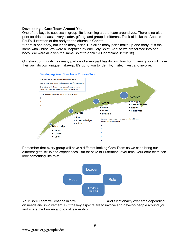### **Developing a Core Team Around You**

One of the keys to success in group-life is forming a core team around you. There is no blueprint for this because every leader, gifting, and group is different. Think of it like the Apostle Paul's illustration of the body to the church in Corinth:

"There is one body, but it has many parts. But all its many parts make up one body. It is the same with Christ. We were all baptized by one Holy Spirit. And so we are formed into one body. We were all given the same Spirit to drink." (I Corinthians 12:12-13)

Christian community has many parts and every part has its own function. Every group will have their own its own unique make-up. It's up to you to identify, invite, invest and involve.



Remember that every group will have a different looking Core Team as we each bring our different gifts, skills and experiences. But for sake of illustration, over time, your core team can look something like this:



Your Core Team will change in size and functionality over time depending on needs and involvement. But the key aspects are to involve and develop people around you and share the burden and joy of leadership.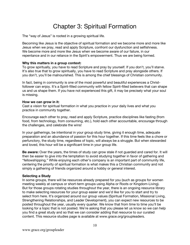# Chapter 3: Spiritual Formation

The "way of Jesus" is rooted in a growing spiritual life.

Becoming like Jesus is the objective of spiritual formation and we become more and more like Jesus when we pray, read and apply Scripture, confront our dysfunction and selfishness. We become more and more like Jesus when we become aware of our failure, in our repentance and in our reliance in the Spirit's empowerment. Thus we are being formed.

### **Why this matters in a group context:**

To grow spiritually, you have to read Scripture and pray by yourself. If you don't, you'll starve. It's also true that to grow spiritually, you have to read Scripture and pray alongside others. If you don't, you'll be malnourished. This is among the chief blessings of Christian community.

In fact, being in community is one of the most powerful and beautiful experiences a Christfollower can enjoy. It's a Spirit-filled community with fellow Spirit-filled believers that can shape us and us shape them. If you have not experienced this gift, it may be precisely what your soul is missing.

### **How we can grow in it:**

Cast a vision for spiritual formation in what you practice in your daily lives and what you practice in community together.

Encourage each other to pray, read and apply Scripture, practice disciplines like fasting (from food, from technology, from consuming, etc.), hold each other accountable, encourage through the challenges, and celebrate the wins!

In your gatherings, be intentional in your group study time, giving it enough time, adequate preparation and an abundance of passion for this hour together. If this time feels like a chore or perfunctory, the study time, regardless of topic, will always be a struggle. But when stewarded and loved, this hour will be a significant time in your group life.

**Be aware:** Over the years, the times of study can grow stale if not guarded and cared for. It will then be easier to give into the temptation to avoid studying together in favor of gathering and "fellowshipping." While enjoying each other's company is an important part of community life, centering the priority of spiritual formation is what makes this a Christian community and not simply a gathering of friends organized around a hobby or general interest.

### **Selecting a Study**

In some groups, there will be resources already prepared for you (such as groups for women meeting weekly at campus or short-term groups using Alpha or Roots or Kingdom-Living). But for those groups rotating studies throughout the year, there is an ongoing resource library to make selecting resources for your group easier and we'd like for you to start and try to select from here. It's organized around our group values (Spiritual Formation, Missional Living, Strengthening Relationships, and Leader Development), you can expect new resources to be posted throughout the year, usually every quarter. We know that from time to time you'll be looking for a topic that is not posted. We're asking that you please let us know so we can help you find a great study and so that we can consider adding that resource to our curated content. This resource studies page is available at www.grace.org/groupleaders.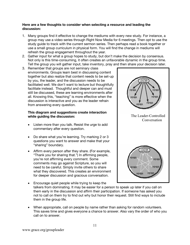### **Here are a few thoughts to consider when selecting a resource and leading the discussion:**

- 1. Many groups find it effective to change the mediums with every new study. For instance, a group may use a video series through Right Now Media for 6 meetings. Then opt to use the study guide to track with the current sermon series. Then perhaps read a book together or use a small group curriculum in physical form. You will find the change in mediums will refresh the group engagement throughout the year.
- 2. Gather input for what a group hopes to study, but don't make the decision by consensus. Not only is this time-consuming, it often creates an unfavorable dynamic in the group time. Tell the group you will gather input, take inventory, pray and then share your decision later.
- 3. Remember that groups are not seminary class environments. Groups learn best in discussing content together but also realize that content needs to be set-up by you, the leader, and the discussion needs to be facilitated well. We don't want to lecture but thoughtfully facilitate instead. Thoughtful and deeper can and must still be discussed, these are learning environments after all. Knowing this, "teaching" is more effective when the discussion is interactive and you as the leader refrain from answering every question.

### **This diagram and suggestions create interaction while guiding the discussion:**

- Listen more than you talk. Resist the urge to add commentary after every question.
- Do share what you're learning. Try marking 2 or 3 questions you want to answer and make that your "sharing" boundary.
- Affirm every person after they share. (For example, "Thank you for sharing that.") In affirming people, you're not affirming every comment. Some comments may go against Scripture, so you will need to be careful. Simply invite others to share what they discovered. This creates an environment for deeper discussion and gracious conversation.



- Encourage quiet people while trying to keep the encourage quiet people wrille trying to keep the<br>talkers from dominating. It may be easier for a person to speak up later if you call on them early in the discussion and affirm their participation. If someone has asked you not to call on them try to find out why but honor their request. Still find ways to include them in the group life. n you can on
- When appropriate, call on people by name rather than asking for random volunteers. This saves time and gives everyone a chance to answer. Also vary the order of who you call on to answer.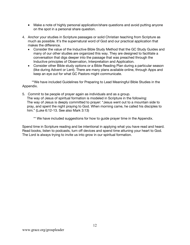- Make a note of highly personal application/share questions and avoid putting anyone on the spot in a personal share question.
- 4. Anchor your studies in Scripture passages or solid Christian teaching from Scripture as much as possible. It's the supernatural word of God and our practical application that makes the difference.
	- Consider the value of the Inductive Bible Study Method that the GC Study Guides and many of our other studies are organized this way. They are designed to facilitate a conversation that digs deeper into the passage that was preached through the Inductive principles of Observation, Interpretation and Application.
	- Consider other Bible study options or a Bible Reading Plan during a particular season (like during Advent or Lent). There are many plans available online, through Apps and keep an eye out for what GC Pastors might communicate.

 \*\*We have included Guidelines for Preparing to Lead Meaningful Bible Studies in the Appendix.

5. Commit to be people of prayer again as individuals and as a group. The way of Jesus of spiritual formation is modeled in Scripture in the following: The way of Jesus is deeply committed to prayer: "Jesus went out to a mountain side to pray, and spent the night praying to God. When morning came, he called his disciples to him." (Luke 6:12-13. See also Mark 3:13)

\*\* We have included suggestions for how to guide prayer time in the Appendix.

Spend time in Scripture reading and be intentional in applying what you have read and heard. Read books, listen to podcasts, turn off devices and spend time attuning your heart to God. The Lord is always trying to invite us into grow in our spiritual formation.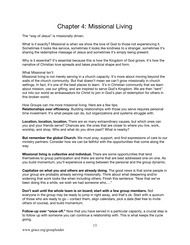## Chapter 4: Missional Living

The "way of Jesus" is missionally driven.

What is it exactly? Missional is when we show the love of God to those not experiencing it. Sometimes it looks like service, sometimes it looks like kindness to a stranger, sometimes it's sharing the redemptive message of Jesus and sometimes it's simply being present.

Why is it essential? It's essential because this is how the Kingdom of God grows. It's how the narrative of Christian love spreads and takes practical shape and form.

#### What Missional Isn't:

Missional living is not merely serving in a church capacity. It's more about moving beyond the walls of the church community. But that doesn't mean we can't grow missionally in church settings. In fact, it's one of the best places to learn. It's in Christian community that we learn about mission, use our gifting, and are inspired to serve God's Kingdom. We are then "sent" out into our world as ambassadors for Christ to join in God's plan of redemption for others in this broken world.

How Groups can me more missional living. Here are a few tips:

**Relationships over efficiency**. Building relationships with those you serve requires personal time investment. It's what people can do, but organizations and systems struggle with.

**Location, location, location.** There are so many extraordinary causes, but which ones can you and your friends serve? Chances are, the ones that are closer to where you live, work, worship, and shop. Who and what do you drive past? What is nearby?

**But remember the global Church.** We must pray, support, and find expressions of care to our ministry partners. Consider how we can be faithful with the opportunities that come along the way.

**Missional living is collective and individual.** There are some opportunities that lend themselves to group participation and there are some that are best addressed one-on-one. As you build momentum, you'll experience a swing between the personal and the group dynamic.

**Capitalize on what you and others are already doing.** The good news is that some people in your group are probably already serving missionally. Think about what deepening and/or widening that work looks like when including others. Finish this sentence: "Now that we've been doing this a while, we wish we had someone who…."

**Don't wait until the whole team is on board; start with a few group members.** Not everyone in the group may be ready to jump in right away, and that's ok. Start with a quorum of those who are ready to go – contact them, align calendars, pick a date (feel free to invite others of course), and build momentum.

**Follow-up over "once-off."** Now that you have served in a particular capacity, a crucial step is to follow up with someone you can continue a relationship with. This is what keeps the cycle going.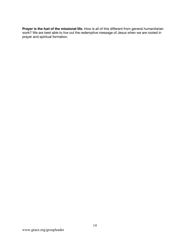**Prayer is the fuel of the missional life.** How is all of this different from general humanitarian work? We are best able to live out the redemptive message of Jesus when we are rooted in prayer and spiritual formation.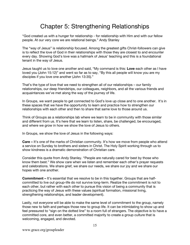# Chapter 5: Strengthening Relationships

"God created us with a hunger for relationship - for relationship with Him and with our fellow people. At our very core we are relational beings." Andy Stanley

The "way of Jesus" is relationship focused. Among the greatest gifts Christ-followers can give is to reflect the love of God in their relationships with those they are closest to and encounter every day. Showing God's love was a hallmark of Jesus' teaching and this is a foundational tenant in the way of Jesus.

Jesus taught us to love one another and said, "My command is this: **Love** each other as I have loved you (John 15:12)" and went so far as to say, "By this all people will know you are my disciples if you love one another (John 13:35)."

That's the type of love that we need to strengthen all of our relationships – our family relationships, our deep friendships, our colleagues, neighbors, and all the various friends and acquaintances we've met along the way of the journey of life.

In Groups, we want people to get connected to God's love up close and to one another. It's in these spaces that we have the opportunity to learn and practice how to strengthen our relationships with each other and then to share that same love to those around us.

Think of Groups as a relationships lab where we learn to be in community with those similar and different from us. It's here that we learn to listen, share, be challenged, be encouraged, and where we grow in how we show the love of Jesus to others.

In Groups, we show the love of Jesus in the following ways:

**Care –** It's one of the marks of Christian community. It's how we move from people who attend a service on Sunday to brothers and sisters in Christ. The Holy Spirit working through us to show kindness is a dramatic demonstration of Christian care.

Consider this quote from Andy Stanley. "People are naturally cared for best by those who know them best." We show care when we listen and remember each other's prayer requests and celebrations. We share grief, we share our needs, we share our joy and we share our hopes with one another.

**Commitment** – It's essential that we resolve to be in this together. Groups that are halfcommitted to live out group-life do not survive long-term. Realize the commitment is not to each other, but rather with each other to pursue this vision of being a community that is practicing the way of Jesus with these values (spiritual formation, missional living, strengthening relationships, and leader development).

Lastly, not everyone will be able to make the same level of commitment to the group, namely those new to faith and perhaps those new to group life. It can be intimidating to show up and feel pressured to "sign on the dotted line" to a room full of strangers. The objective is to have a committed core, and even better, a committed majority to create a group culture that is welcoming, engaged, and devoted.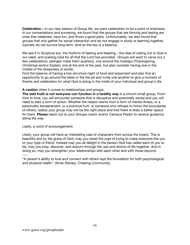**Celebration –** In our new season of Group life, we want celebration to be a point of emphasis. In our conversations and surveying, we found that the groups that are thriving and lasting are ones that celebrate, have fun, and throw a good party. Unfortunately, we also found that groups that only gather for social interaction and do not engage in study or learning together, typically do not survive long-term. And so the key is a balance.

We see it in Scripture too, the rhythms of fasting and feasting – the idea of calling out to God in our need, and praising God for all that the Lord has provided. Groups will want to carve out a few celebrations, perhaps make them quarterly, one around the holidays (Thanksgiving, Christmas and/or Easter), one at the end of the year, but also consider having one in the middle of the dreariness of winter.

Find the balance of having a low-structure night of food and enjoyment and also find an opportunity to go around the table or the fire pit and invite one another to give a moment of thanks and celebration for what God is doing in the midst of your individual and group's life.

### **A caution** when it comes to relationships and groups.

**The said truth is not everyone can function in a healthy way** in a church small group. From time to time, you will encounter someone that is disruptive and potentially worse and you will need to take a form of action. Whether the reason stems from a form of mental illness, or a personality temperament, or a previous hurt, or someone who refuses to honor the boundaries of others, realize your group may not be the right place and that there is likely a better space for them. **Please** reach out to your Groups coach and/or Campus Pastor to receive guidance along the way.

Lastly, a word of encouragement:

Likely, your group will have an interesting cast of characters from across the board. This is beautiful and by the grace of God, may you resist the urge of trying to make everyone like you or your type of friend. Instead may you all delight in the person God has called each of you to be, may you pray, discover, and sojourn through the ups and downs of life together. And in doing so, may you strengthen your relationships with each other and with those beyond. ----

"A person's ability to love and connect with others lays the foundation for both psychological and physical health." (Andy Stanley, *Creating Community*)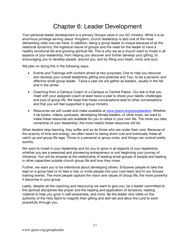### Chapter 6: Leader Development

Your personal leader development is a primary Groups value in our GC ministry. While it is an enormous privilege serving Jesus' Kingdom, church leadership is also one of the most demanding roles one can have. In addition, being a group leader is unique because of all the relational dynamics, the logistical nature of groups and the need for the leader to have a healthy emotional life and growing spiritual life. This is why we as a church want to invest in all aspects of your leadership, from helping you discover and further develop your gifting, to encouraging you to develop people around you, and by filling your heart, mind, and soul.

We plan on doing this in the following ways:

- Events and Trainings with content aimed at two purposes: One to help you discover and develop your overall leadership gifting and potential and Two, to be a dynamic and effective small group leader. Twice a year we will gather as leaders, usually in the fall and in the winter.
- Coaching from a Campus Coach or a Campus or Central Pastor. Our ask is that you meet with your assigned coach at least twice a year to share your needs, challenges and joys of group life. We hope that these conversations lead to other conversations and that you will feel supported in group ministry.
- Resources we will curate and make available at www.grace.org/groupleaders. Whether it be books, videos, podcasts, developing female leaders, or other tools, we want to make these resources are available for you to utilize in your own life. The more you take ownership of your leadership, the more helpful these resources will be.

When leaders stop learning, they suffer and so do those who are under their care. Because of the scarcity of time and energy, we often resort to taking short-cuts and eventually these all catch up and group life lags. Throw in a personal or group crisis, and things can unravel pretty quickly.

We want to invest in your leadership and for you to grow in all aspects of your leadership, whether you are a seasoned and pioneering entrepreneur or just beginning your journey of influence. You will be amazed at the relationship of leading small groups of people and leading in other capacities outside church group life and how they cross.

Further, we want you to be intentional about developing others. Empower people to take the lead on a group task or to take a role, or invite people into your core team and to our Groups training events. The more people capture the vision and values of Group life, the more powerful it becomes in your group.

Lastly, despite all the coaching and resourcing we want to give you, be a leader committed to the spiritual disciplines like prayer and the reading and application of Scripture, reading material to help you grow in self-awareness, and more. Be the leader who relies on the authority of the Holy Spirit to magnify their gifting and skill-set and allow the Lord to work powerfully through you.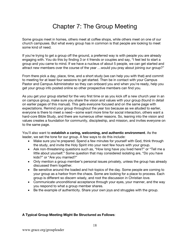## Chapter 7: The Group Meeting

Some groups meet in homes, others meet at coffee shops, while others meet on one of our church campuses. But what every group has in common is that people are looking to meet some kind of need.

If you're trying to get a group off the ground, a preferred way is with people you are already engaging with. You do this by finding 3 or 4 friends or couples and say, "I feel led to start a group and you came to mind. If we have a nucleus of about 5 people, we can get started and attract new members over the course of the year …would you pray about joining our group?"

From there pick a day, place, time, and a short study (we can help you with that) and commit to meeting for at least four sessions to get started. Then be in contact with your Campus Pastor and Campus Administrator so they can onboard you and when you're ready, help you get your group info posted online so other prospective members can find you.

As you get your group started for the very first time or as you kick off a new church year in an on campus group, make sure you share the vision and values with your group (found in detail on earlier pages of this manual). This gets everyone focused and on the same page with expectations. Remind your group throughout the year too because as we alluded to earlier, everyone is there to meet a need—some want more time for social interaction, others want a hard-core Bible Study, and there are numerous other reasons. So, leaning into the vision and values creates a foundation for community, discipleship, and mission, and invites everyone on to the same page.

You'll also want to **establish a caring, welcoming, and authentic environment**. As the leader, we set the tone for our group. A few ways to do this include:

- Make sure you're prepared. Spend a few minutes for yourself with God, think through the study, and invite the Holy Spirit into your next few hours with your group.
- Ask non-threatening questions such as, "How long have you lived here?" or "Tell me a little about yourself." Some question that may considered isolating are, "Do you have kids?" or "Are you married?"
- Only mention a group member's personal issues privately, unless the group has already discussed them together.
- Be sensitive around the loaded and hot-topics of the day. Some people are coming to your group as a harbor from the chaos. Some are looking for a place to process. Each group is different so discern wisely, and root the discussion in Christian love.
- Communicate unconditional acceptance through your eyes, your manner, and the way you respond to what a group member shares.
- Be the example of authenticity. Share your own joys and struggles with the group.

#### **A Typical Group Meeting Might Be Structured as Follows**: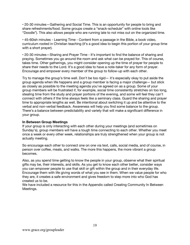• 20-30 minutes—Gathering and Social Time. This is an opportunity for people to bring and share refreshments/food. Some groups create a "snack-schedule" with online tools like "Doodle"). This also allows people who are running late to not miss out on the organized time.

• 45-60ish minutes - Learning Time - Content from a passage in the Bible, a book video, curriculum rooted in Christian teaching (it's a good idea to begin this portion of your group time with a short prayer).

• 20-30 minutes—Sharing and Prayer Time - It's important to find the balance of sharing and praying. Sometimes you go around the room and ask what can be prayed for. This of course, takes time. Other gatherings, you might consider opening up the time of prayer for people to share their needs to the Lord. It's a good idea to have a note-taker for any form of prayer. Encourage and empower every member of the group to follow-up with each other.

Try to manage the group's time well. Don't be too rigid— it's especially okay to put aside the group agenda when life happens and a group member is facing a major challenge— but stick as closely as possible to the meeting agenda you've agreed on as a group. Some of your group members will be frustrated if, for example, social time consistently stretches on too long, stealing time from the study and prayer portions of the evening, and some will feel they can't connect with others if the time always feels like a seminary class. Guard the sharing and prayer time to appropriate lengths as well. Be intentional about switching it up and be attentive to the verbal and non-verbal feedback. Awareness will help you find some balance to the group. There's a balance between predictability and variety that will make a significant difference in your group.

### **In Between Group Meetings**

If your group is only interacting with each other during your meetings (and sometimes on Sunday's), group members will have a tough time connecting to each other. Whether you meet once a week or every other week, relationships are truly strengthened when your group is not actually meeting.

So encourage each other to connect one on one via text, calls, social media, and of course, in person over coffee, meals, and walks. The more this happens, the more vibrant a group becomes.

Also, as you spend time getting to know the people in your group, observe what their spiritual gifts may be, their interests, and skills. As you get to know each other better, consider ways you can empower people to use that skill or gift within the group and in their everyday life. Encourage them with life giving words of what you see in them. When we value people for who they are, it creates a safe environment and gives freedom to step more into who God has created us to be.

We have included a resource for this in the Appendix called Creating Community In Between Meetings.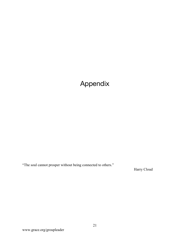# Appendix

"The soul cannot prosper without being connected to others."

Harry Cloud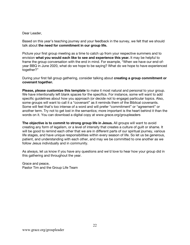### Dear Leader,

Based on this year's teaching journey and your feedback in the survey, we felt that we should talk about **the need for commitment in our group life.**

Picture your first group meeting as a time to catch up from your respective summers and to envision **what you would each like to see and experience this year.** It may be helpful to frame the group conversation with the end in mind. For example, "When we have our end-ofyear BBQ in June 2020, what do we hope to be saying? What do we hope to have experienced together?"

During your first fall group gathering, consider talking about **creating a group commitment or covenant together.**

**Please, please customize this template** to make it most natural and personal to your group. We have intentionally left blank spaces for the specifics. For instance, some will want to add specific guidelines about how you approach (or decide not to engage) particular topics. Also, some groups will want to call it a "covenant" as it reminds them of the Biblical covenants. Some will feel that's too intense of a word and will prefer "commitment" or "agreement" or another term. Try not to get lost in the semantics; more important is the heart behind it than the words on it. You can download a digital copy at www.grace.org/groupleaders

**The objective is to commit to strong group life in Jesus.** All groups will want to avoid creating any form of legalism, or a level of intensity that creates a culture of guilt or shame. It will be good to remind each other that we are in different parts of our spiritual journey, various life stages, and have unique responsibilities within every season of life. So let us be generous, patient, and understanding with each other, and may we be committed to one another as we follow Jesus individually and in community.

As always, let us know if you have any questions and we'd love to hear how your group did in this gathering and throughout the year.

Grace and peace, Pastor Tim and the Group Life Team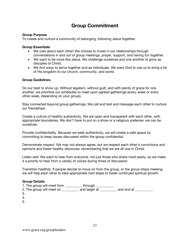### **Group Commitment**

### **Group Purpose**

To create and nurture a community of belonging, following Jesus together.

#### **Group Essentials**

- We care about each other! We choose to invest in our relationships through conversations in and out of group meetings, prayer, support, and having fun together.
- We want to be more like Jesus. We challenge ourselves and one another to grow as disciples of Christ.
- We find ways to serve together and as individuals. We want God to use us to bring a bit of His kingdom to our church, community, and world.

### **Group Guidelines**

Do our best to show up. Without legalism, without guilt, and with plenty of grace for one another, we prioritize our schedules to meet upon agreed gatherings (every week or every other week, depending on your group).

Stay connected beyond group gatherings. We call and text and message each other to nurture our friendships.

Create a culture of healthy authenticity. We are open and transparent with each other, with appropriate boundaries. We don't have to put on a show or a religious pretense; we can be ourselves.

Provide confidentiality. Because we seek authenticity, we will create a safe space by committing to keep issues discussed within the group confidential.

Demonstrate respect. We may not always agree, but we respect each other's convictions and opinions and foster healthy discourse, remembering that we are all one in Christ.

Listen well. We want to hear from everyone, not just those who share most easily, so we make it a priority to hear from a variety of voices during times of discussion.

Transition healthily. If people decide to move on from the group, or the group stops meeting, we will help each other to take appropriate next steps to foster continued spiritual growth.

### **Group Details**

1. The group will meet from \_\_\_\_\_\_\_\_\_\_\_ through \_\_\_\_\_\_\_\_\_\_. 2. The group will meet on \_\_\_\_\_\_\_\_\_\_ and begin at \_\_\_\_\_\_\_\_\_ and end at \_\_\_\_\_\_\_\_\_.

- 3.
- 4.

5.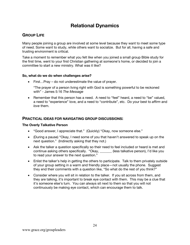### **Relational Dynamics**

### **GROUP LIFE**

Many people joining a group are involved at some level because they want to meet some type of need. Some want to study, while others want to socialize. But for all, having a safe and trusting environment is critical.

Take a moment to remember what you felt like when you joined a small group Bible study for the first time, went to your first Christian gathering at someone's home, or decided to join a committee to start a new ministry. What was it like?

### **So, what do we do when challenges arise?**

• First…Pray – do not underestimate the value of prayer.

"The prayer of a person living right with God is something powerful to be reckoned with" - James 5:16 *The Message*

• Remember that this person has a need. A need to "feel" heard, a need to "be" valued, a need to "experience" love, and a need to "contribute", etc. Do your best to *affirm* and *love* them.

### **PRACTICAL IDEAS FOR NAVIGATING GROUP DISCUSSIONS:**

### **The Overly Talkative Person**

- "Good answer, I appreciate that." (Quickly) "Okay, now someone else."
- (During a pause) "Okay, I need some of you that haven't answered to speak up on the next question." (Indirectly asking that they not.)
- Ask the talker a question specifically so their need to feel included or heard is met and continue asking others specifically. "Okay, \_\_\_\_\_\_\_ (less talkative person), I'd like you to read your answer to the next question."
- Enlist the talker's help in getting the others to participate. Talk to them privately outside of your group setting in a warm and friendly place—not usually the phone. Suggest they end their comments with a question like, "So what do the rest of you think?"
- Consider where you will sit in relation to the talker. If you sit across from them, and they are talking, it's important to break eye contact with them. This may be a clue that it's someone else's turn. You can always sit next to them so that you will not continuously be making eye contact, which can encourage them to talk.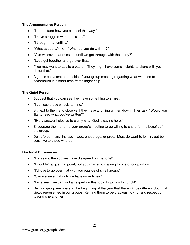### **The Argumentative Person**

- "I understand how you can feel that way."
- "I have struggled with that issue."
- "I thought that until …"
- "What about …?" OR "What do you do with …?"
- "Can we save that question until we get through with the study?"
- "Let's get together and go over that."
- "You may want to talk to a pastor. They might have some insights to share with you about that."
- A gentle conversation outside of your group meeting regarding what we need to accomplish in a short time frame might help.

### **The Quiet Person**

- Suggest that you can see they have something to share …
- "I can see those wheels turning."
- Sit next to them and observe if they have anything written down. Then ask, "Would you like to read what you've written?"
- "Every answer helps us to clarify what God is saying here."
- Encourage them prior to your group's meeting to be willing to share for the benefit of the group.
- Don't force them. Instead—woo, encourage, or prod. Most do want to join in, but be sensitive to those who don't.

### **Doctrinal Differences**

- "For years, theologians have disagreed on that one!"
- "I wouldn't argue that point, but you may enjoy talking to one of our pastors."
- "I'd love to go over that with you outside of small group."
- "Can we save that until we have more time?"
- "Let's see if we can find an expert on this topic to join us for lunch!"
- Remind group members at the beginning of the year that there will be different doctrinal views represented in our groups. Remind them to be gracious, loving, and respectful toward one another.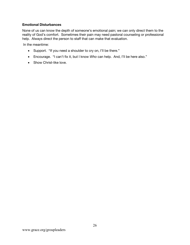### **Emotional Disturbances**

None of us can know the depth of someone's emotional pain; we can only direct them to the reality of God's comfort. Sometimes their pain may need pastoral counseling or professional help. Always direct the person to staff that can make that evaluation.

In the meantime:

- Support. "If you need a shoulder to cry on, I'll be there."
- Encourage. "I can't fix it, but I know *Who* can help. And, I'll be here also."
- Show Christ-like love.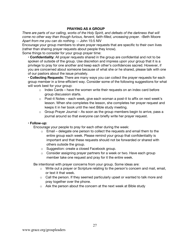### **PRAYING AS A GROUP**

*There are parts of our calling, works of the Holy Spirit, and defeats of the darkness that will come no other way than though furious, fervent, faith-filled, unceasing prayer.* –Beth Moore *Apart from me you can do nothing.* -- John 15:5 NIV

Encourage your group members to share prayer requests that are specific to their own lives (rather than sharing prayer requests about people they know).

Some things to consider for your group prayer time:

• **Confidentiality**: All prayer requests shared in the group are confidential and not to be spoken of outside of the group. Use discretion and impress upon your group that it is a privilege to pray for one another and keep each other's confidences sacred. However, if you are concerned about someone because of what she or he shared, please talk with one of our pastors about the issue privately.

• **Collecting Requests**: There are many ways you can collect the prayer requests for each group member in a time-efficient way. Consider some of the following suggestions for what will work best for your group:

- $\circ$  Index Cards have the women write their requests on an index card before group discussion starts.
- o Post-it Notes each week, give each woman a post-it to affix on next week's lesson. When she completes the lesson, she completes her prayer request and keeps it in her book until the next Bible study meeting.
- $\circ$  Group Prayer Journal As soon as the group members begin to arrive, pass a journal around so that everyone can briefly write her prayer request.

#### • **Follow-up**:

Encourage your people to pray for each other during the week:

- $\circ$  Email delegate one person to collect the requests and email them to the entire group each week. Please remind your group that confidentiality is important and that these requests should not be forwarded or shared with others outside the group.
- o Suggestion: create a closed Facebook group.
- o Consider assigning prayer partners for a week or two. Have each group member take one request and pray for it the entire week.

Be intentional with prayer concerns from your group. Some ideas are:

- o Write out a prayer or Scripture relating to the person's concern and mail, email, or text it that week.
- $\circ$  Call the person. If they seemed particularly upset or wanted to talk more and pray together over the phone.
- o Ask the person about the concern at the next week at Bible study